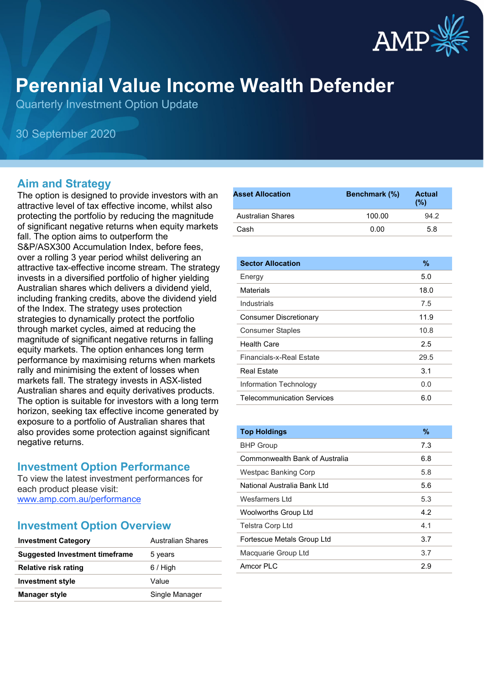

# **Perennial Value Income Wealth Defender**

Quarterly Investment Option Update

30 September 2020

# **Aim and Strategy**

The option is designed to provide investors with an attractive level of tax effective income, whilst also protecting the portfolio by reducing the magnitude of significant negative returns when equity markets fall. The option aims to outperform the S&P/ASX300 Accumulation Index, before fees, over a rolling 3 year period whilst delivering an attractive tax-effective income stream. The strategy invests in a diversified portfolio of higher yielding Australian shares which delivers a dividend yield, including franking credits, above the dividend yield of the Index. The strategy uses protection strategies to dynamically protect the portfolio through market cycles, aimed at reducing the magnitude of significant negative returns in falling equity markets. The option enhances long term performance by maximising returns when markets rally and minimising the extent of losses when markets fall. The strategy invests in ASX-listed Australian shares and equity derivatives products. The option is suitable for investors with a long term horizon, seeking tax effective income generated by exposure to a portfolio of Australian shares that also provides some protection against significant negative returns.

# **Investment Option Performance**

To view the latest investment performances for each product please visit: www.amp.com.au/performance

# **Investment Option Overview**

| Australian Shares |
|-------------------|
| 5 years           |
| $6/$ High         |
| Value             |
| Single Manager    |
|                   |

| <b>Asset Allocation</b> | <b>Benchmark</b> (%) | <b>Actual</b><br>(%) |
|-------------------------|----------------------|----------------------|
| Australian Shares       | 100.00               | 94.2                 |
| Cash                    | 0.00                 | 5.8                  |

| <b>Sector Allocation</b>          | $\%$ |
|-----------------------------------|------|
| Energy                            | 5.0  |
| Materials                         | 18.0 |
| Industrials                       | 7.5  |
| <b>Consumer Discretionary</b>     | 11.9 |
| <b>Consumer Staples</b>           | 10.8 |
| <b>Health Care</b>                | 2.5  |
| Financials-x-Real Fstate          | 29.5 |
| <b>Real Estate</b>                | 3.1  |
| Information Technology            | 0.0  |
| <b>Telecommunication Services</b> | 6.0  |

| <b>Top Holdings</b>            | $\frac{9}{6}$ |
|--------------------------------|---------------|
| <b>BHP Group</b>               | 7.3           |
| Commonwealth Bank of Australia | 6.8           |
| Westpac Banking Corp           | 5.8           |
| National Australia Bank I td   | 5.6           |
| Wesfarmers I td                | 5.3           |
| <b>Woolworths Group Ltd</b>    | 4.2           |
| <b>Telstra Corp Ltd</b>        | 4.1           |
| Fortescue Metals Group Ltd     | 3.7           |
| Macquarie Group Ltd            | 3.7           |
| Amcor PI C                     | 2.9           |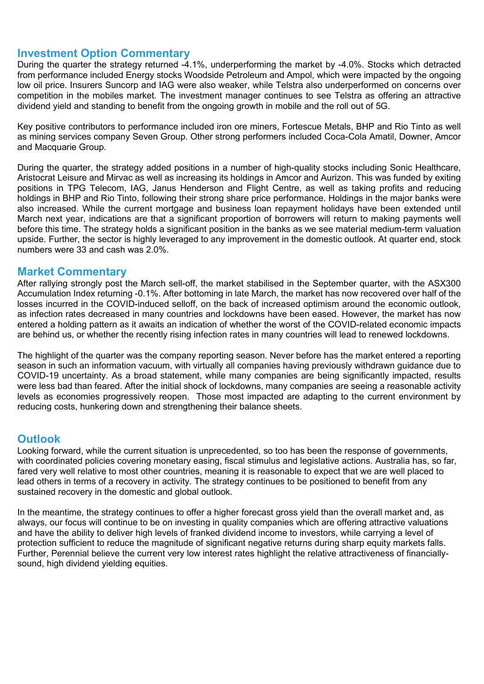# **Investment Option Commentary**

During the quarter the strategy returned -4.1%, underperforming the market by -4.0%. Stocks which detracted from performance included Energy stocks Woodside Petroleum and Ampol, which were impacted by the ongoing low oil price. Insurers Suncorp and IAG were also weaker, while Telstra also underperformed on concerns over competition in the mobiles market. The investment manager continues to see Telstra as offering an attractive dividend yield and standing to benefit from the ongoing growth in mobile and the roll out of 5G.

Key positive contributors to performance included iron ore miners, Fortescue Metals, BHP and Rio Tinto as well as mining services company Seven Group. Other strong performers included Coca-Cola Amatil, Downer, Amcor and Macquarie Group.

During the quarter, the strategy added positions in a number of high-quality stocks including Sonic Healthcare, Aristocrat Leisure and Mirvac as well as increasing its holdings in Amcor and Aurizon. This was funded by exiting positions in TPG Telecom, IAG, Janus Henderson and Flight Centre, as well as taking profits and reducing holdings in BHP and Rio Tinto, following their strong share price performance. Holdings in the major banks were also increased. While the current mortgage and business loan repayment holidays have been extended until March next year, indications are that a significant proportion of borrowers will return to making payments well before this time. The strategy holds a significant position in the banks as we see material medium-term valuation upside. Further, the sector is highly leveraged to any improvement in the domestic outlook. At quarter end, stock numbers were 33 and cash was 2.0%.

### **Market Commentary**

After rallying strongly post the March sell-off, the market stabilised in the September quarter, with the ASX300 Accumulation Index returning -0.1%. After bottoming in late March, the market has now recovered over half of the losses incurred in the COVID-induced selloff, on the back of increased optimism around the economic outlook, as infection rates decreased in many countries and lockdowns have been eased. However, the market has now entered a holding pattern as it awaits an indication of whether the worst of the COVID-related economic impacts are behind us, or whether the recently rising infection rates in many countries will lead to renewed lockdowns.

The highlight of the quarter was the company reporting season. Never before has the market entered a reporting season in such an information vacuum, with virtually all companies having previously withdrawn guidance due to COVID-19 uncertainty. As a broad statement, while many companies are being significantly impacted, results were less bad than feared. After the initial shock of lockdowns, many companies are seeing a reasonable activity levels as economies progressively reopen. Those most impacted are adapting to the current environment by reducing costs, hunkering down and strengthening their balance sheets.

# **Outlook**

Looking forward, while the current situation is unprecedented, so too has been the response of governments, with coordinated policies covering monetary easing, fiscal stimulus and legislative actions. Australia has, so far, fared very well relative to most other countries, meaning it is reasonable to expect that we are well placed to lead others in terms of a recovery in activity. The strategy continues to be positioned to benefit from any sustained recovery in the domestic and global outlook.

In the meantime, the strategy continues to offer a higher forecast gross yield than the overall market and, as always, our focus will continue to be on investing in quality companies which are offering attractive valuations and have the ability to deliver high levels of franked dividend income to investors, while carrying a level of protection sufficient to reduce the magnitude of significant negative returns during sharp equity markets falls. Further, Perennial believe the current very low interest rates highlight the relative attractiveness of financiallysound, high dividend yielding equities.